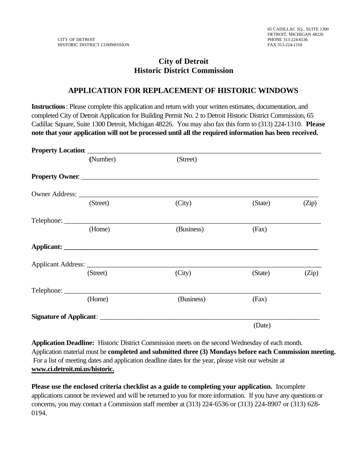## **City of Detroit Historic District Commission**

## **APPLICATION FOR REPLACEMENT OF HISTORIC WINDOWS**

**Instructions**: Please complete this application and return with your written estimates, documentation, and completed City of Detroit Application for Building Permit No. 2 to Detroit Historic District Commission, 65 Cadillac Square, Suite 1300 Detroit, Michigan 48226. You may also fax this form to (313) 224-1310. **Please note that your application will not be processed until all the required information has been received.**

| (Number) | (Street)   |         |       |
|----------|------------|---------|-------|
|          |            |         |       |
|          |            |         |       |
| (Street) | (City)     | (State) | (Zip) |
|          |            |         |       |
| (Home)   | (Business) | (Fax)   |       |
|          |            |         |       |
|          |            |         |       |
| (Street) | (City)     | (State) | (Zip) |
|          |            |         |       |
| (Home)   | (Business) | (Fax)   |       |
|          |            |         |       |
|          |            | (Date)  |       |

**Application Deadline:** Historic District Commission meets on the second Wednesday of each month. Application material must be **completed and submitted three (3) Mondays before each Commission meeting.**  For a list of meeting dates and application deadline dates for the year, please visit our website at **www.ci.detroit.mi.us/historic.**

**Please use the enclosed criteria checklist as a guide to completing your application.** Incomplete applications cannot be reviewed and will be returned to you for more information. If you have any questions or concerns, you may contact a Commission staff member at (313) 224-6536 or (313) 224-8907 or (313) 628- 0194.